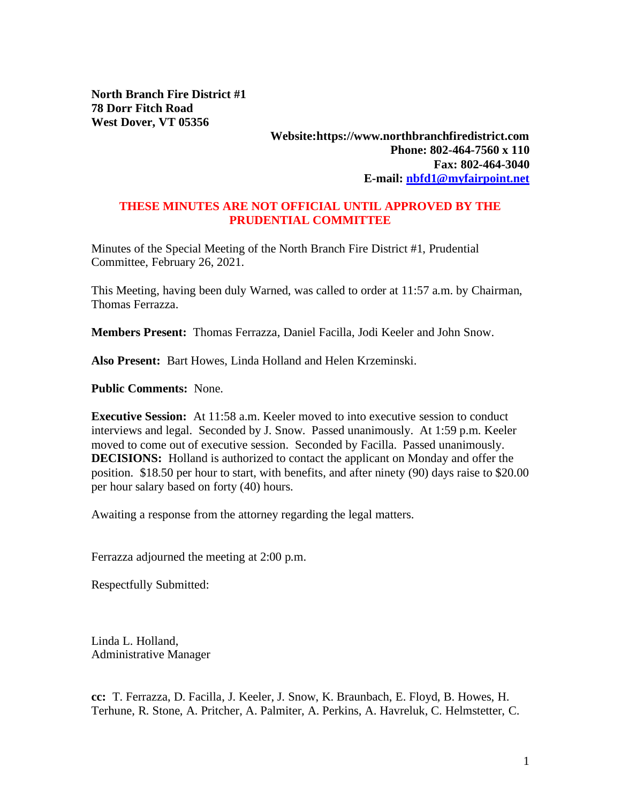**North Branch Fire District #1 78 Dorr Fitch Road West Dover, VT 05356**

## **Website:https://www.northbranchfiredistrict.com Phone: 802-464-7560 x 110 Fax: 802-464-3040 E-mail: [nbfd1@myfairpoint.net](mailto:nbfd1@myfairpoint.net)**

## **THESE MINUTES ARE NOT OFFICIAL UNTIL APPROVED BY THE PRUDENTIAL COMMITTEE**

Minutes of the Special Meeting of the North Branch Fire District #1, Prudential Committee, February 26, 2021.

This Meeting, having been duly Warned, was called to order at 11:57 a.m. by Chairman, Thomas Ferrazza.

**Members Present:** Thomas Ferrazza, Daniel Facilla, Jodi Keeler and John Snow.

**Also Present:** Bart Howes, Linda Holland and Helen Krzeminski.

**Public Comments:** None.

**Executive Session:** At 11:58 a.m. Keeler moved to into executive session to conduct interviews and legal. Seconded by J. Snow. Passed unanimously. At 1:59 p.m. Keeler moved to come out of executive session. Seconded by Facilla. Passed unanimously. **DECISIONS:** Holland is authorized to contact the applicant on Monday and offer the position. \$18.50 per hour to start, with benefits, and after ninety (90) days raise to \$20.00 per hour salary based on forty (40) hours.

Awaiting a response from the attorney regarding the legal matters.

Ferrazza adjourned the meeting at 2:00 p.m.

Respectfully Submitted:

Linda L. Holland, Administrative Manager

**cc:** T. Ferrazza, D. Facilla, J. Keeler, J. Snow, K. Braunbach, E. Floyd, B. Howes, H. Terhune, R. Stone, A. Pritcher, A. Palmiter, A. Perkins, A. Havreluk, C. Helmstetter, C.